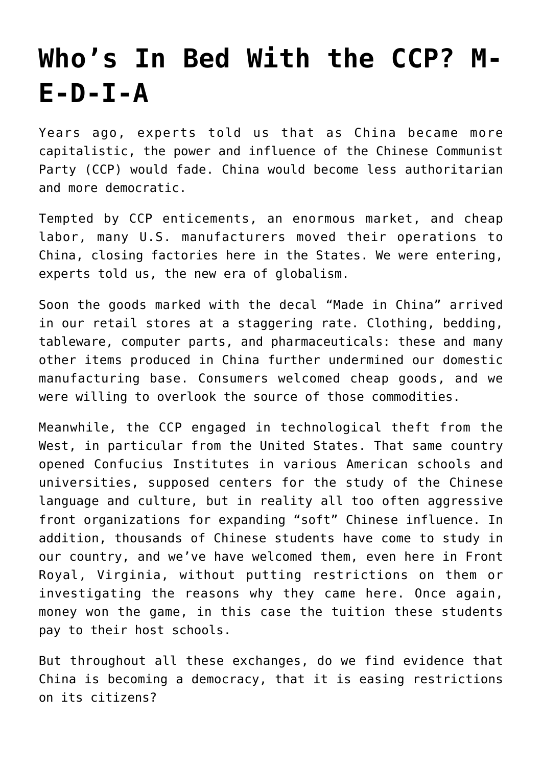## **[Who's In Bed With the CCP? M-](https://intellectualtakeout.org/2020/10/whos-in-bed-with-the-ccp-m-e-d-i-a/)[E-D-I-A](https://intellectualtakeout.org/2020/10/whos-in-bed-with-the-ccp-m-e-d-i-a/)**

Years ago, experts told us that as China became more capitalistic, the power and influence of the Chinese Communist Party (CCP) would fade. China would become less authoritarian and more democratic.

Tempted by CCP enticements, an enormous market, and cheap labor, many U.S. manufacturers moved their operations to China, closing factories here in the States. We were entering, experts told us, the new era of globalism.

Soon the goods marked with the decal "Made in China" arrived in our retail stores at a staggering rate. Clothing, bedding, tableware, computer parts, and pharmaceuticals: these and many other items produced in China further undermined our domestic manufacturing base. Consumers welcomed cheap goods, and we were willing to overlook the source of those commodities.

Meanwhile, the CCP engaged in technological theft from the West, in particular from the United States. That same country opened Confucius Institutes in various American schools and universities, supposed centers for the study of the Chinese language and culture, but in reality all too often aggressive front organizations for expanding "soft" Chinese influence. In addition, thousands of Chinese students have come to study in our country, and we've have welcomed them, even here in Front Royal, Virginia, without putting restrictions on them or investigating the reasons why they came here. Once again, money won the game, in this case the tuition these students pay to their host schools.

But throughout all these exchanges, do we find evidence that China is becoming a democracy, that it is easing restrictions on its citizens?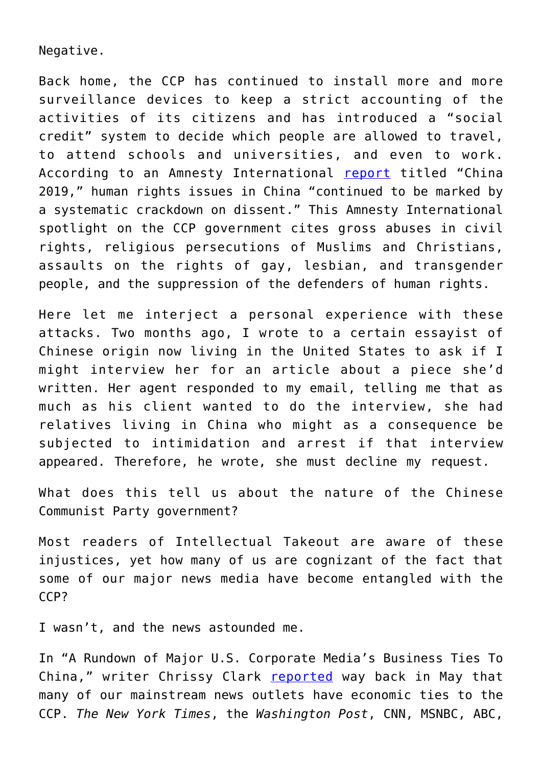Negative.

Back home, the CCP has continued to install more and more surveillance devices to keep a strict accounting of the activities of its citizens and has introduced a "social credit" system to decide which people are allowed to travel, to attend schools and universities, and even to work. According to an Amnesty International [report](https://www.amnesty.org/en/countries/asia-and-the-pacific/china/report-china/) titled "China 2019," human rights issues in China "continued to be marked by a systematic crackdown on dissent." This Amnesty International spotlight on the CCP government cites gross abuses in civil rights, religious persecutions of Muslims and Christians, assaults on the rights of gay, lesbian, and transgender people, and the suppression of the defenders of human rights.

Here let me interject a personal experience with these attacks. Two months ago, I wrote to a certain essayist of Chinese origin now living in the United States to ask if I might interview her for an article about a piece she'd written. Her agent responded to my email, telling me that as much as his client wanted to do the interview, she had relatives living in China who might as a consequence be subjected to intimidation and arrest if that interview appeared. Therefore, he wrote, she must decline my request.

What does this tell us about the nature of the Chinese Communist Party government?

Most readers of Intellectual Takeout are aware of these injustices, yet how many of us are cognizant of the fact that some of our major news media have become entangled with the CCP?

I wasn't, and the news astounded me.

In "A Rundown of Major U.S. Corporate Media's Business Ties To China," writer Chrissy Clark [reported](https://thefederalist.com/2020/05/04/has-china-compromised-every-major-mainstream-media-entity/) way back in May that many of our mainstream news outlets have economic ties to the CCP. *The New York Times*, the *Washington Post*, CNN, MSNBC, ABC,